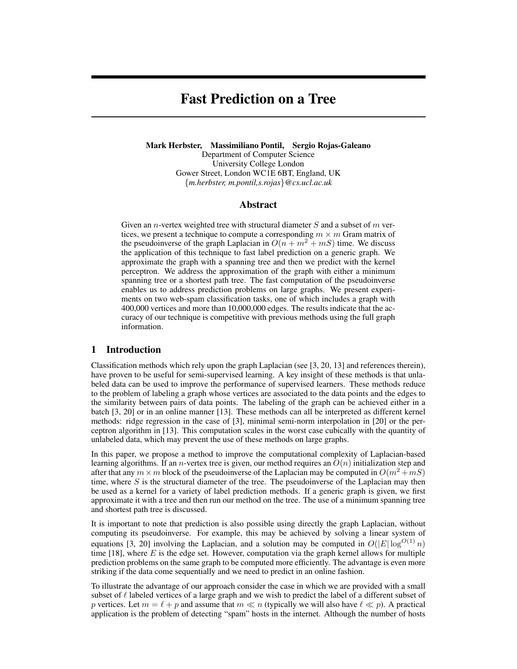# Fast Prediction on a Tree

Mark Herbster, Massimiliano Pontil, Sergio Rojas-Galeano Department of Computer Science University College London Gower Street, London WC1E 6BT, England, UK

{*m.herbster, m.pontil,s.rojas*}*@cs.ucl.ac.uk*

## Abstract

Given an *n*-vertex weighted tree with structural diameter S and a subset of m vertices, we present a technique to compute a corresponding  $m \times m$  Gram matrix of the pseudoinverse of the graph Laplacian in  $O(n + m^2 + mS)$  time. We discuss the application of this technique to fast label prediction on a generic graph. We approximate the graph with a spanning tree and then we predict with the kernel perceptron. We address the approximation of the graph with either a minimum spanning tree or a shortest path tree. The fast computation of the pseudoinverse enables us to address prediction problems on large graphs. We present experiments on two web-spam classification tasks, one of which includes a graph with 400,000 vertices and more than 10,000,000 edges. The results indicate that the accuracy of our technique is competitive with previous methods using the full graph information.

### 1 Introduction

Classification methods which rely upon the graph Laplacian (see [3, 20, 13] and references therein), have proven to be useful for semi-supervised learning. A key insight of these methods is that unlabeled data can be used to improve the performance of supervised learners. These methods reduce to the problem of labeling a graph whose vertices are associated to the data points and the edges to the similarity between pairs of data points. The labeling of the graph can be achieved either in a batch [3, 20] or in an online manner [13]. These methods can all be interpreted as different kernel methods: ridge regression in the case of [3], minimal semi-norm interpolation in [20] or the perceptron algorithm in [13]. This computation scales in the worst case cubically with the quantity of unlabeled data, which may prevent the use of these methods on large graphs.

In this paper, we propose a method to improve the computational complexity of Laplacian-based learning algorithms. If an *n*-vertex tree is given, our method requires an  $O(n)$  initialization step and after that any  $m \times m$  block of the pseudoinverse of the Laplacian may be computed in  $O(m^2 + mS)$ time, where  $S$  is the structural diameter of the tree. The pseudoinverse of the Laplacian may then be used as a kernel for a variety of label prediction methods. If a generic graph is given, we first approximate it with a tree and then run our method on the tree. The use of a minimum spanning tree and shortest path tree is discussed.

It is important to note that prediction is also possible using directly the graph Laplacian, without computing its pseudoinverse. For example, this may be achieved by solving a linear system of equations [3, 20] involving the Laplacian, and a solution may be computed in  $O(|E| \log^{O(1)} n)$ time  $[18]$ , where E is the edge set. However, computation via the graph kernel allows for multiple prediction problems on the same graph to be computed more efficiently. The advantage is even more striking if the data come sequentially and we need to predict in an online fashion.

To illustrate the advantage of our approach consider the case in which we are provided with a small subset of  $\ell$  labeled vertices of a large graph and we wish to predict the label of a different subset of p vertices. Let  $m = \ell + p$  and assume that  $m \ll n$  (typically we will also have  $\ell \ll p$ ). A practical application is the problem of detecting "spam" hosts in the internet. Although the number of hosts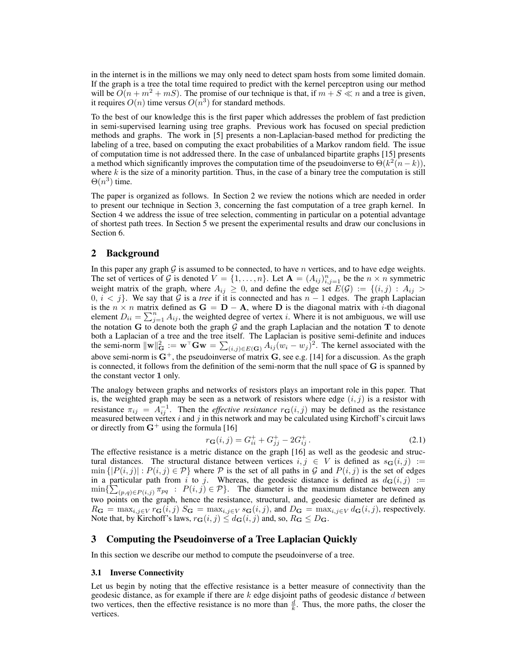in the internet is in the millions we may only need to detect spam hosts from some limited domain. If the graph is a tree the total time required to predict with the kernel perceptron using our method will be  $O(n + m^2 + mS)$ . The promise of our technique is that, if  $m + S \ll n$  and a tree is given, it requires  $O(n)$  time versus  $O(n^3)$  for standard methods.

To the best of our knowledge this is the first paper which addresses the problem of fast prediction in semi-supervised learning using tree graphs. Previous work has focused on special prediction methods and graphs. The work in [5] presents a non-Laplacian-based method for predicting the labeling of a tree, based on computing the exact probabilities of a Markov random field. The issue of computation time is not addressed there. In the case of unbalanced bipartite graphs [15] presents a method which significantly improves the computation time of the pseudoinverse to  $\Theta(k^2(n-k))$ , where  $k$  is the size of a minority partition. Thus, in the case of a binary tree the computation is still  $\Theta(n^3)$  time.

The paper is organized as follows. In Section 2 we review the notions which are needed in order to present our technique in Section 3, concerning the fast computation of a tree graph kernel. In Section 4 we address the issue of tree selection, commenting in particular on a potential advantage of shortest path trees. In Section 5 we present the experimental results and draw our conclusions in Section 6.

## 2 Background

In this paper any graph  $G$  is assumed to be connected, to have  $n$  vertices, and to have edge weights. The set of vertices of G is denoted  $V = \{1, \ldots, n\}$ . Let  $\mathbf{A} = (A_{ij})_{i,j=1}^n$  be the  $n \times n$  symmetric weight matrix of the graph, where  $A_{ij} \geq 0$ , and define the edge set  $E(G) := \{(i, j) : A_{ij} > 0\}$  $0, i < j$ . We say that  $\mathcal G$  is a *tree* if it is connected and has  $n - 1$  edges. The graph Laplacian is the  $n \times n$  matrix defined as  $G = D - A$ , where D is the diagonal matrix with *i*-th diagonal element  $D_{ii} = \sum_{j=1}^{n} A_{ij}$ , the weighted degree of vertex *i*. Where it is not ambiguous, we will use the notation G to denote both the graph  $G$  and the graph Laplacian and the notation T to denote both a Laplacian of a tree and the tree itself. The Laplacian is positive semi-definite and induces the semi-norm  $\|\mathbf{w}\|_{\mathbf{G}}^2 := \mathbf{w}^\top \mathbf{G} \mathbf{w} = \sum_{(i,j) \in E(\mathbf{G})} A_{ij} (w_i - w_j)^2$ . The kernel associated with the above semi-norm is  $G^+$ , the pseudoinverse of matrix  $G$ , see e.g. [14] for a discussion. As the graph is connected, it follows from the definition of the semi-norm that the null space of G is spanned by the constant vector 1 only.

The analogy between graphs and networks of resistors plays an important role in this paper. That is, the weighted graph may be seen as a network of resistors where edge  $(i, j)$  is a resistor with resistance  $\pi_{ij} = A_{ij}^{-1}$ . Then the *effective resistance*  $r_{\mathbf{G}}(i, j)$  may be defined as the resistance measured between vertex i and j in this network and may be calculated using Kirchoff's circuit laws or directly from  $G^+$  using the formula [16]

$$
r_{\mathbf{G}}(i,j) = G_{ii}^+ + G_{jj}^+ - 2G_{ij}^+ \,. \tag{2.1}
$$

The effective resistance is a metric distance on the graph [16] as well as the geodesic and structural distances. The structural distance between vertices  $i, j \in V$  is defined as  $s_{\mathbf{G}}(i, j) :=$  $\min\{|P(i,j)| : P(i,j) \in \mathcal{P}\}\$  where  $\mathcal P$  is the set of all paths in  $\mathcal G$  and  $P(i,j)$  is the set of edges in a particular path from i to j. Whereas, the geodesic distance is defined as  $d_G(i, j) :=$  $\min\{\sum_{(p,q)\in P(i,j)}\pi_{pq} : P(i,j)\in\mathcal{P}\}\.$  The diameter is the maximum distance between any two points on the graph, hence the resistance, structural, and, geodesic diameter are defined as  $R_{\mathbf{G}} = \max_{i,j \in V} r_{\mathbf{G}}(i,j)$   $S_{\mathbf{G}} = \max_{i,j \in V} s_{\mathbf{G}}(i,j)$ , and  $D_{\mathbf{G}} = \max_{i,j \in V} d_{\mathbf{G}}(i,j)$ , respectively. Note that, by Kirchoff's laws,  $r_{\mathbf{G}}(i, j) \leq d_{\mathbf{G}}(i, j)$  and, so,  $R_{\mathbf{G}} \leq D_{\mathbf{G}}$ .

## 3 Computing the Pseudoinverse of a Tree Laplacian Quickly

In this section we describe our method to compute the pseudoinverse of a tree.

## 3.1 Inverse Connectivity

Let us begin by noting that the effective resistance is a better measure of connectivity than the geodesic distance, as for example if there are  $k$  edge disjoint paths of geodesic distance  $d$  between two vertices, then the effective resistance is no more than  $\frac{d}{k}$ . Thus, the more paths, the closer the vertices.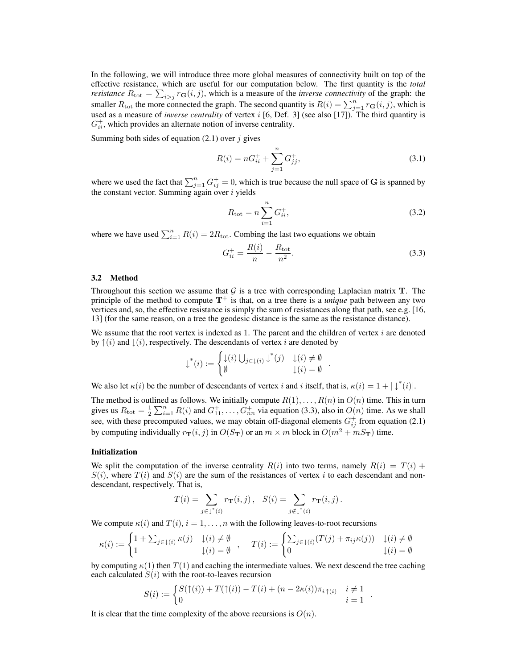In the following, we will introduce three more global measures of connectivity built on top of the effective resistance, which are useful for our computation below. The first quantity is the *total resistance*  $R_{\text{tot}} = \sum_{i>j} r_{\mathbf{G}}(i, j)$ , which is a measure of the *inverse connectivity* of the graph: the smaller  $R_{\text{tot}}$  the more connected the graph. The second quantity is  $R(i) = \sum_{j=1}^{n} r_{\mathbf{G}}(i, j)$ , which is used as a measure of *inverse centrality* of vertex i [6, Def. 3] (see also [17]). The third quantity is  $G_{ii}^{+}$ , which provides an alternate notion of inverse centrality.

Summing both sides of equation  $(2.1)$  over j gives

$$
R(i) = nG_{ii}^+ + \sum_{j=1}^n G_{jj}^+, \tag{3.1}
$$

where we used the fact that  $\sum_{j=1}^{n} G_{ij}^{+} = 0$ , which is true because the null space of G is spanned by the constant vector. Summing again over  $i$  yields

$$
R_{\text{tot}} = n \sum_{i=1}^{n} G_{ii}^{+},
$$
\n(3.2)

where we have used  $\sum_{i=1}^{n} R(i) = 2R_{\text{tot}}$ . Combing the last two equations we obtain

$$
G_{ii}^{+} = \frac{R(i)}{n} - \frac{R_{\text{tot}}}{n^2}.
$$
\n(3.3)

.

.

#### 3.2 Method

Throughout this section we assume that  $G$  is a tree with corresponding Laplacian matrix  $T$ . The principle of the method to compute  $T^+$  is that, on a tree there is a *unique* path between any two vertices and, so, the effective resistance is simply the sum of resistances along that path, see e.g. [16, 13] (for the same reason, on a tree the geodesic distance is the same as the resistance distance).

We assume that the root vertex is indexed as 1. The parent and the children of vertex  $i$  are denoted by  $\uparrow(i)$  and  $\downarrow(i)$ , respectively. The descendants of vertex i are denoted by

$$
\downarrow^*(i) := \begin{cases} \downarrow(i) \bigcup_{j \in \downarrow(i)} \downarrow^*(j) & \downarrow(i) \neq \emptyset \\ \emptyset & \downarrow(i) = \emptyset \end{cases}
$$

We also let  $\kappa(i)$  be the number of descendants of vertex i and i itself, that is,  $\kappa(i) = 1 + |\downarrow^*(i)|$ .

The method is outlined as follows. We initially compute  $R(1), \ldots, R(n)$  in  $O(n)$  time. This in turn gives us  $R_{\text{tot}} = \frac{1}{2} \sum_{i=1}^{n} R(i)$  and  $G_{11}^+, \ldots, G_{nn}^+$  via equation (3.3), also in  $O(n)$  time. As we shall see, with these precomputed values, we may obtain off-diagonal elements  $G_{ij}^+$  from equation (2.1) by computing individually  $r_{\mathbf{T}}(i, j)$  in  $O(S_{\mathbf{T}})$  or an  $m \times m$  block in  $O(m^2 + mS_{\mathbf{T}})$  time.

#### Initialization

We split the computation of the inverse centrality  $R(i)$  into two terms, namely  $R(i) = T(i) + I(i)$  $S(i)$ , where  $T(i)$  and  $S(i)$  are the sum of the resistances of vertex i to each descendant and nondescendant, respectively. That is,

$$
T(i) = \sum_{j \in \downarrow^*(i)} r_{\mathbf{T}}(i,j), \quad S(i) = \sum_{j \notin \downarrow^*(i)} r_{\mathbf{T}}(i,j).
$$

We compute  $\kappa(i)$  and  $T(i)$ ,  $i = 1, \ldots, n$  with the following leaves-to-root recursions

$$
\kappa(i) := \begin{cases} 1 + \sum_{j \in \downarrow(i)} \kappa(j) & \downarrow(i) \neq \emptyset \\ 1 & \downarrow(i) = \emptyset \end{cases}, \quad T(i) := \begin{cases} \sum_{j \in \downarrow(i)} (T(j) + \pi_{ij}\kappa(j)) & \downarrow(i) \neq \emptyset \\ 0 & \downarrow(i) = \emptyset \end{cases}
$$

by computing  $\kappa(1)$  then  $T(1)$  and caching the intermediate values. We next descend the tree caching each calculated  $S(i)$  with the root-to-leaves recursion

$$
S(i) := \begin{cases} S(\uparrow(i)) + T(\uparrow(i)) - T(i) + (n - 2\kappa(i))\pi_{i\uparrow(i)} & i \neq 1 \\ 0 & i = 1 \end{cases}
$$

It is clear that the time complexity of the above recursions is  $O(n)$ .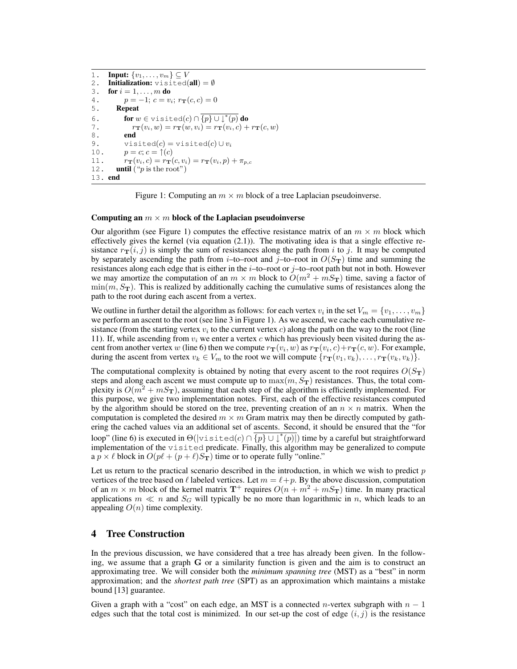```
1. Input: \{v_1, \ldots, v_m\} \subseteq V2. Initialization: visited(all) = \emptyset3. for i = 1, \ldots, m do
4. p = -1; c = v_i; r_{\mathbf{T}}(c, c) = 05. Repeat
6. for w \in \text{visited}(c) \cap \{p\} \cup \downarrow^*(p) do
7. r_{\mathbf{T}}(v_i, w) = r_{\mathbf{T}}(w, v_i) = r_{\mathbf{T}}(v_i, c) + r_{\mathbf{T}}(c, w)8. end
9. visited(c) = visited(c) ∪ v_i<br>10. v = c: c = \uparrow(c)p = c; c = \uparrow(c)11. r_{\mathbf{T}}(v_i, c) = r_{\mathbf{T}}(c, v_i) = r_{\mathbf{T}}(v_i, p) + \pi_{p,c}12. until ("p is the root")
13. end
```
Figure 1: Computing an  $m \times m$  block of a tree Laplacian pseudoinverse.

#### Computing an  $m \times m$  block of the Laplacian pseudoinverse

Our algorithm (see Figure 1) computes the effective resistance matrix of an  $m \times m$  block which effectively gives the kernel (via equation (2.1)). The motivating idea is that a single effective resistance  $r_{\text{T}}(i, j)$  is simply the sum of resistances along the path from i to j. It may be computed by separately ascending the path from *i*–to–root and *j*–to–root in  $O(S_T)$  time and summing the resistances along each edge that is either in the  $i$ –to–root or  $j$ –to–root path but not in both. However we may amortize the computation of an  $m \times m$  block to  $\tilde{O}(m^2 + mS_T)$  time, saving a factor of  $\min(m, S_T)$ . This is realized by additionally caching the cumulative sums of resistances along the path to the root during each ascent from a vertex.

We outline in further detail the algorithm as follows: for each vertex  $v_i$  in the set  $V_m = \{v_1, \ldots, v_m\}$ we perform an ascent to the root (see line 3 in Figure 1). As we ascend, we cache each cumulative resistance (from the starting vertex  $v_i$  to the current vertex  $c$ ) along the path on the way to the root (line 11). If, while ascending from  $v_i$  we enter a vertex c which has previously been visited during the ascent from another vertex  $w$  (line 6) then we compute  $r_{\bf T}(v_i,w)$  as  $r_{\bf T}(v_i,c)+r_{\bf T}(c,w)$ . For example, during the ascent from vertex  $v_k \in V_m$  to the root we will compute  $\{r_{\mathbf{T}}(v_1, v_k), \dots, r_{\mathbf{T}}(v_k, v_k)\}.$ 

The computational complexity is obtained by noting that every ascent to the root requires  $O(S_T)$ steps and along each ascent we must compute up to  $\max(m, S_T)$  resistances. Thus, the total complexity is  $O(m^2 + mS_T)$ , assuming that each step of the algorithm is efficiently implemented. For this purpose, we give two implementation notes. First, each of the effective resistances computed by the algorithm should be stored on the tree, preventing creation of an  $n \times n$  matrix. When the computation is completed the desired  $m \times m$  Gram matrix may then be directly computed by gathering the cached values via an additional set of ascents. Second, it should be ensured that the "for loop" (line 6) is executed in  $\Theta(|\text{visited}(c) \cap \{p\} \cup \{f(p)|\})$  time by a careful but straightforward implementation of the visited predicate. Finally, this algorithm may be generalized to compute a  $p \times \ell$  block in  $O(p\ell + (p + \ell)S_T)$  time or to operate fully "online."

Let us return to the practical scenario described in the introduction, in which we wish to predict  $p$ vertices of the tree based on  $\ell$  labeled vertices. Let  $m = \ell + p$ . By the above discussion, computation of an  $m \times m$  block of the kernel matrix  $T^+$  requires  $O(n + m^2 + mS_T)$  time. In many practical applications  $m \ll n$  and  $S_G$  will typically be no more than logarithmic in n, which leads to an appealing  $O(n)$  time complexity.

# 4 Tree Construction

In the previous discussion, we have considered that a tree has already been given. In the following, we assume that a graph G or a similarity function is given and the aim is to construct an approximating tree. We will consider both the *minimum spanning tree* (MST) as a "best" in norm approximation; and the *shortest path tree* (SPT) as an approximation which maintains a mistake bound [13] guarantee.

Given a graph with a "cost" on each edge, an MST is a connected *n*-vertex subgraph with  $n - 1$ edges such that the total cost is minimized. In our set-up the cost of edge  $(i, j)$  is the resistance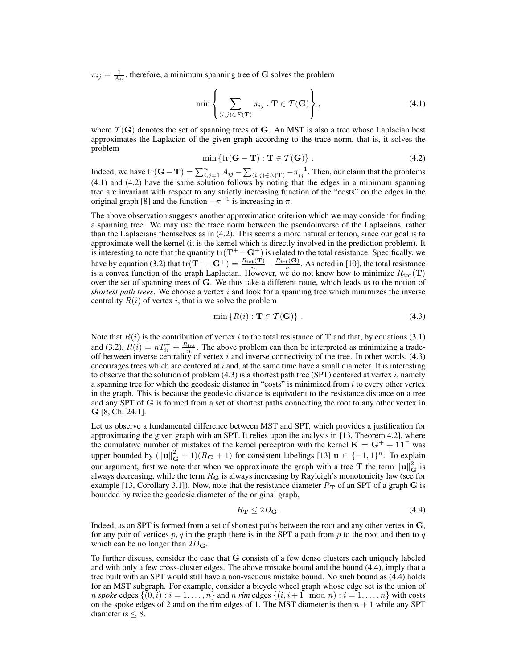$\pi_{ij} = \frac{1}{A_{ij}}$ , therefore, a minimum spanning tree of G solves the problem

$$
\min\left\{\sum_{(i,j)\in E(\mathbf{T})}\pi_{ij} : \mathbf{T} \in \mathcal{T}(\mathbf{G})\right\},\tag{4.1}
$$

where  $\mathcal{T}(\mathbf{G})$  denotes the set of spanning trees of G. An MST is also a tree whose Laplacian best approximates the Laplacian of the given graph according to the trace norm, that is, it solves the problem

$$
\min \{ \text{tr}(\mathbf{G} - \mathbf{T}) : \mathbf{T} \in \mathcal{T}(\mathbf{G}) \} . \tag{4.2}
$$

Indeed, we have  $tr(G - T) = \sum_{i,j=1}^{n} A_{ij} - \sum_{(i,j) \in E(T)} - \pi_{ij}^{-1}$ . Then, our claim that the problems (4.1) and (4.2) have the same solution follows by noting that the edges in a minimum spanning tree are invariant with respect to any strictly increasing function of the "costs" on the edges in the original graph [8] and the function  $-\pi^{-1}$  is increasing in  $\pi$ .

The above observation suggests another approximation criterion which we may consider for finding a spanning tree. We may use the trace norm between the pseudoinverse of the Laplacians, rather than the Laplacians themselves as in (4.2). This seems a more natural criterion, since our goal is to approximate well the kernel (it is the kernel which is directly involved in the prediction problem). It is interesting to note that the quantity  $tr(T^+ - G^+)$  is related to the total resistance. Specifically, we have by equation (3.2) that  $tr(\mathbf{T}^+ - \mathbf{G}^+) = \frac{R_{tot}(\mathbf{T})}{n} - \frac{R_{tot}(\mathbf{G})}{n}$ . As noted in [10], the total resistance is a convex function of the graph Laplacian. However, we do not know how to minimize  $R_{\text{tot}}(\mathbf{T})$ over the set of spanning trees of G. We thus take a different route, which leads us to the notion of *shortest path trees.* We choose a vertex  $i$  and look for a spanning tree which minimizes the inverse centrality  $R(i)$  of vertex i, that is we solve the problem

$$
\min\left\{R(i): \mathbf{T} \in \mathcal{T}(\mathbf{G})\right\} \,. \tag{4.3}
$$

Note that  $R(i)$  is the contribution of vertex i to the total resistance of **T** and that, by equations (3.1) and (3.2),  $R(i) = nT_{ii}^+ + \frac{R_{\text{tot}}}{n}$ . The above problem can then be interpreted as minimizing a tradeoff between inverse centrality of vertex  $i$  and inverse connectivity of the tree. In other words, (4.3) encourages trees which are centered at  $i$  and, at the same time have a small diameter. It is interesting to observe that the solution of problem (4.3) is a shortest path tree (SPT) centered at vertex  $i$ , namely a spanning tree for which the geodesic distance in "costs" is minimized from  $i$  to every other vertex in the graph. This is because the geodesic distance is equivalent to the resistance distance on a tree and any SPT of G is formed from a set of shortest paths connecting the root to any other vertex in G [8, Ch. 24.1].

Let us observe a fundamental difference between MST and SPT, which provides a justification for approximating the given graph with an SPT. It relies upon the analysis in [13, Theorem 4.2], where the cumulative number of mistakes of the kernel perceptron with the kernel  $K = G^+ + 11^{\top}$  was upper bounded by  $(||\mathbf{u}||_{\mathbf{G}}^2 + 1)(R_{\mathbf{G}} + 1)$  for consistent labelings [13]  $\mathbf{u} \in \{-1, 1\}^n$ . To explain our argument, first we note that when we approximate the graph with a tree T the term  $\|\mathbf{u}\|_{\mathbf{G}}^2$  is always decreasing, while the term  $R_G$  is always increasing by Rayleigh's monotonicity law (see for example [13, Corollary 3.1]). Now, note that the resistance diameter  $R<sub>T</sub>$  of an SPT of a graph G is bounded by twice the geodesic diameter of the original graph,

$$
R_{\mathbf{T}} \le 2D_{\mathbf{G}}.\tag{4.4}
$$

Indeed, as an SPT is formed from a set of shortest paths between the root and any other vertex in G, for any pair of vertices  $p, q$  in the graph there is in the SPT a path from p to the root and then to q which can be no longer than  $2D_{\mathbf{G}}$ .

To further discuss, consider the case that G consists of a few dense clusters each uniquely labeled and with only a few cross-cluster edges. The above mistake bound and the bound (4.4), imply that a tree built with an SPT would still have a non-vacuous mistake bound. No such bound as (4.4) holds for an MST subgraph. For example, consider a bicycle wheel graph whose edge set is the union of *n spoke* edges  $\{(0, i) : i = 1, \ldots, n\}$  and *n rim* edges  $\{(i, i+1 \mod n) : i = 1, \ldots, n\}$  with costs on the spoke edges of 2 and on the rim edges of 1. The MST diameter is then  $n + 1$  while any SPT diameter is  $\leq 8$ .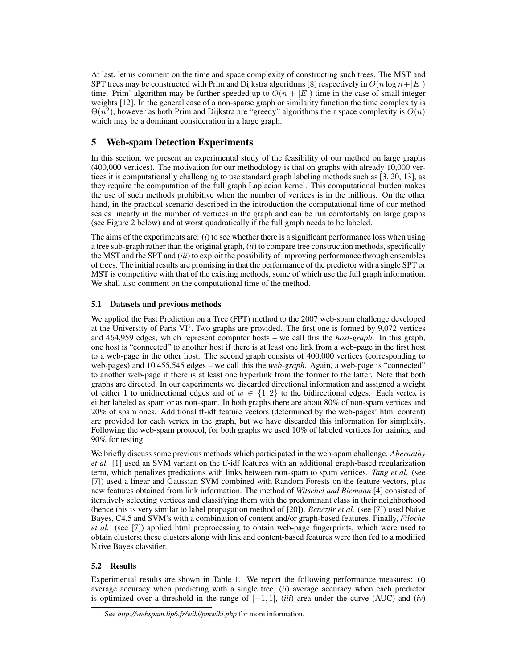At last, let us comment on the time and space complexity of constructing such trees. The MST and SPT trees may be constructed with Prim and Dijkstra algorithms [8] respectively in  $O(n \log n + |E|)$ time. Prim' algorithm may be further speeded up to  $O(n + |E|)$  time in the case of small integer weights [12]. In the general case of a non-sparse graph or similarity function the time complexity is  $\Theta(n^2)$ , however as both Prim and Dijkstra are "greedy" algorithms their space complexity is  $O(n)$ which may be a dominant consideration in a large graph.

# 5 Web-spam Detection Experiments

In this section, we present an experimental study of the feasibility of our method on large graphs (400,000 vertices). The motivation for our methodology is that on graphs with already 10,000 vertices it is computationally challenging to use standard graph labeling methods such as [3, 20, 13], as they require the computation of the full graph Laplacian kernel. This computational burden makes the use of such methods prohibitive when the number of vertices is in the millions. On the other hand, in the practical scenario described in the introduction the computational time of our method scales linearly in the number of vertices in the graph and can be run comfortably on large graphs (see Figure 2 below) and at worst quadratically if the full graph needs to be labeled.

The aims of the experiments are: (*i*) to see whether there is a significant performance loss when using a tree sub-graph rather than the original graph, (*ii*) to compare tree construction methods, specifically the MST and the SPT and (*iii*) to exploit the possibility of improving performance through ensembles of trees. The initial results are promising in that the performance of the predictor with a single SPT or MST is competitive with that of the existing methods, some of which use the full graph information. We shall also comment on the computational time of the method.

# 5.1 Datasets and previous methods

We applied the Fast Prediction on a Tree (FPT) method to the 2007 web-spam challenge developed at the University of Paris VI<sup>1</sup>. Two graphs are provided. The first one is formed by  $9,072$  vertices and 464,959 edges, which represent computer hosts – we call this the *host-graph*. In this graph, one host is "connected" to another host if there is at least one link from a web-page in the first host to a web-page in the other host. The second graph consists of 400,000 vertices (corresponding to web-pages) and 10,455,545 edges – we call this the *web-graph*. Again, a web-page is "connected" to another web-page if there is at least one hyperlink from the former to the latter. Note that both graphs are directed. In our experiments we discarded directional information and assigned a weight of either 1 to unidirectional edges and of  $w \in \{1,2\}$  to the bidirectional edges. Each vertex is either labeled as spam or as non-spam. In both graphs there are about 80% of non-spam vertices and 20% of spam ones. Additional tf-idf feature vectors (determined by the web-pages' html content) are provided for each vertex in the graph, but we have discarded this information for simplicity. Following the web-spam protocol, for both graphs we used 10% of labeled vertices for training and 90% for testing.

We briefly discuss some previous methods which participated in the web-spam challenge. *Abernathy et al.* [1] used an SVM variant on the tf-idf features with an additional graph-based regularization term, which penalizes predictions with links between non-spam to spam vertices. *Tang et al.* (see [7]) used a linear and Gaussian SVM combined with Random Forests on the feature vectors, plus new features obtained from link information. The method of *Witschel and Biemann* [4] consisted of iteratively selecting vertices and classifying them with the predominant class in their neighborhood (hence this is very similar to label propagation method of [20]). *Benczur et al. ´* (see [7]) used Naive Bayes, C4.5 and SVM's with a combination of content and/or graph-based features. Finally, *Filoche et al.* (see [7]) applied html preprocessing to obtain web-page fingerprints, which were used to obtain clusters; these clusters along with link and content-based features were then fed to a modified Naive Bayes classifier.

# 5.2 Results

Experimental results are shown in Table 1. We report the following performance measures: (*i*) average accuracy when predicting with a single tree, (*ii*) average accuracy when each predictor is optimized over a threshold in the range of  $[-1, 1]$ , *(iii)* area under the curve (AUC) and *(iv)* 

<sup>1</sup> See *http://webspam.lip6.fr/wiki/pmwiki.php* for more information.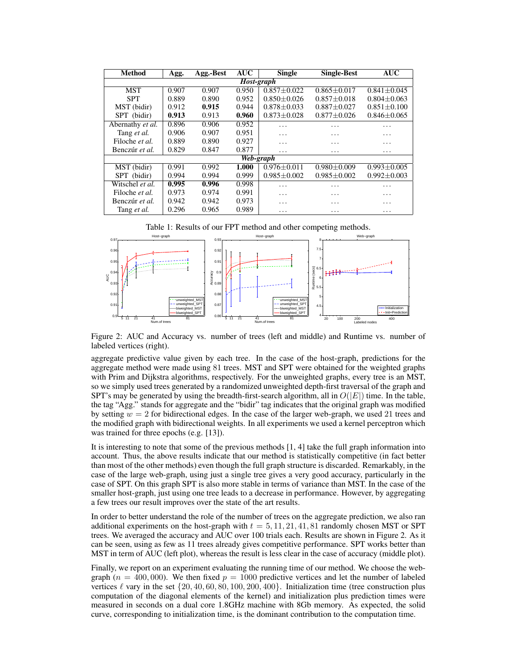| <b>Method</b>         | Agg.  | Agg.-Best | <b>AUC</b> | <b>Single</b>     | <b>Single-Best</b> | AUC               |
|-----------------------|-------|-----------|------------|-------------------|--------------------|-------------------|
| Host-graph            |       |           |            |                   |                    |                   |
| <b>MST</b>            | 0.907 | 0.907     | 0.950      | $0.857 \pm 0.022$ | $0.865 + 0.017$    | $0.841 + 0.045$   |
| <b>SPT</b>            | 0.889 | 0.890     | 0.952      | $0.850 \pm 0.026$ | $0.857 \pm 0.018$  | $0.804 \pm 0.063$ |
| MST (bidir)           | 0.912 | 0.915     | 0.944      | $0.878 \pm 0.033$ | $0.887 \pm 0.027$  | $0.851 \pm 0.100$ |
| SPT (bidir)           | 0.913 | 0.913     | 0.960      | $0.873 \pm 0.028$ | $0.877 \pm 0.026$  | $0.846 \pm 0.065$ |
| Abernathy et al.      | 0.896 | 0.906     | 0.952      | .                 | .                  | .                 |
| Tang et al.           | 0.906 | 0.907     | 0.951      | .                 | $\cdot$            | .                 |
| Filoche et al.        | 0.889 | 0.890     | 0.927      | .                 | .                  | .                 |
| Benczúr et al.        | 0.829 | 0.847     | 0.877      | .                 | $\cdots$           | $\cdots$          |
| Web-graph             |       |           |            |                   |                    |                   |
| MST (bidir)           | 0.991 | 0.992     | 1.000      | $0.976 + 0.011$   | $0.980 + 0.009$    | $0.993 \pm 0.005$ |
| SPT (bidir)           | 0.994 | 0.994     | 0.999      | $0.985 + 0.002$   | $0.985 + 0.002$    | $0.992 + 0.003$   |
| Witschel et al.       | 0.995 | 0.996     | 0.998      | .                 | .                  | .                 |
| Filoche et al.        | 0.973 | 0.974     | 0.991      | .                 | .                  | .                 |
| Benczúr <i>et al.</i> | 0.942 | 0.942     | 0.973      | .                 | .                  | .                 |
| Tang et al.           | 0.296 | 0.965     | 0.989      | .                 | $\cdots$           | $\cdots$          |

Table 1: Results of our FPT method and other competing methods.



Figure 2: AUC and Accuracy vs. number of trees (left and middle) and Runtime vs. number of labeled vertices (right).

aggregate predictive value given by each tree. In the case of the host-graph, predictions for the aggregate method were made using 81 trees. MST and SPT were obtained for the weighted graphs with Prim and Dijkstra algorithms, respectively. For the unweighted graphs, every tree is an MST, so we simply used trees generated by a randomized unweighted depth-first traversal of the graph and SPT's may be generated by using the breadth-first-search algorithm, all in  $O(|E|)$  time. In the table, the tag "Agg." stands for aggregate and the "bidir" tag indicates that the original graph was modified by setting  $w = 2$  for bidirectional edges. In the case of the larger web-graph, we used 21 trees and the modified graph with bidirectional weights. In all experiments we used a kernel perceptron which was trained for three epochs (e.g. [13]).

It is interesting to note that some of the previous methods [1, 4] take the full graph information into account. Thus, the above results indicate that our method is statistically competitive (in fact better than most of the other methods) even though the full graph structure is discarded. Remarkably, in the case of the large web-graph, using just a single tree gives a very good accuracy, particularly in the case of SPT. On this graph SPT is also more stable in terms of variance than MST. In the case of the smaller host-graph, just using one tree leads to a decrease in performance. However, by aggregating a few trees our result improves over the state of the art results.

In order to better understand the role of the number of trees on the aggregate prediction, we also ran additional experiments on the host-graph with  $t = 5, 11, 21, 41, 81$  randomly chosen MST or SPT trees. We averaged the accuracy and AUC over 100 trials each. Results are shown in Figure 2. As it can be seen, using as few as 11 trees already gives competitive performance. SPT works better than MST in term of AUC (left plot), whereas the result is less clear in the case of accuracy (middle plot).

Finally, we report on an experiment evaluating the running time of our method. We choose the webgraph ( $n = 400,000$ ). We then fixed  $p = 1000$  predictive vertices and let the number of labeled vertices  $\ell$  vary in the set  $\{20, 40, 60, 80, 100, 200, 400\}$ . Initialization time (tree construction plus computation of the diagonal elements of the kernel) and initialization plus prediction times were measured in seconds on a dual core 1.8GHz machine with 8Gb memory. As expected, the solid curve, corresponding to initialization time, is the dominant contribution to the computation time.